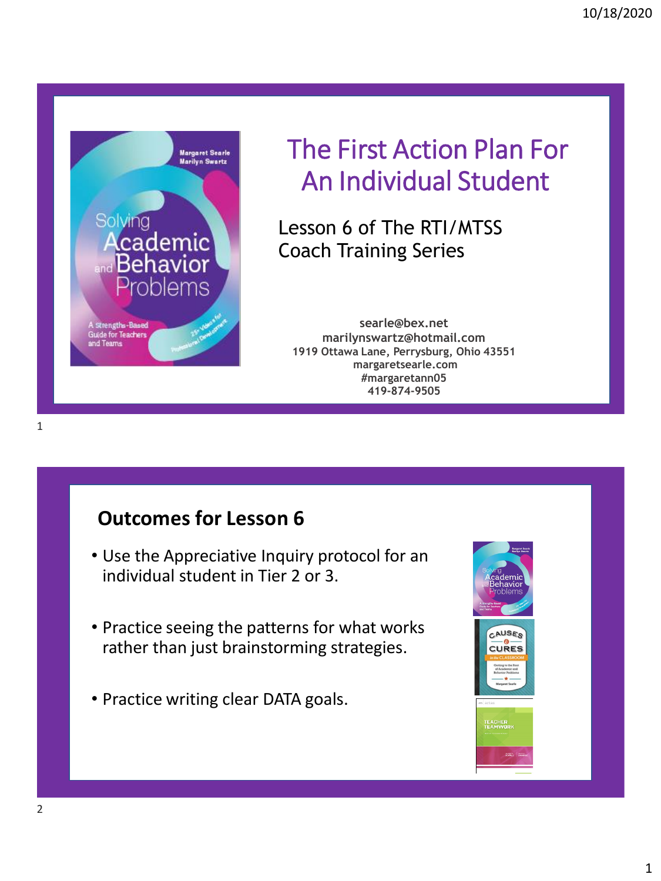

# The First Action Plan For An Individual Student

Lesson 6 of The RTI/MTSS Coach Training Series

**searle@bex.net marilynswartz@hotmail.com 1919 Ottawa Lane, Perrysburg, Ohio 43551 margaretsearle.com #margaretann05 419-874-9505**

### **Outcomes for Lesson 6**

- Use the Appreciative Inquiry protocol for an individual student in Tier 2 or 3.
- Practice seeing the patterns for what works rather than just brainstorming strategies.
- Practice writing clear DATA goals.

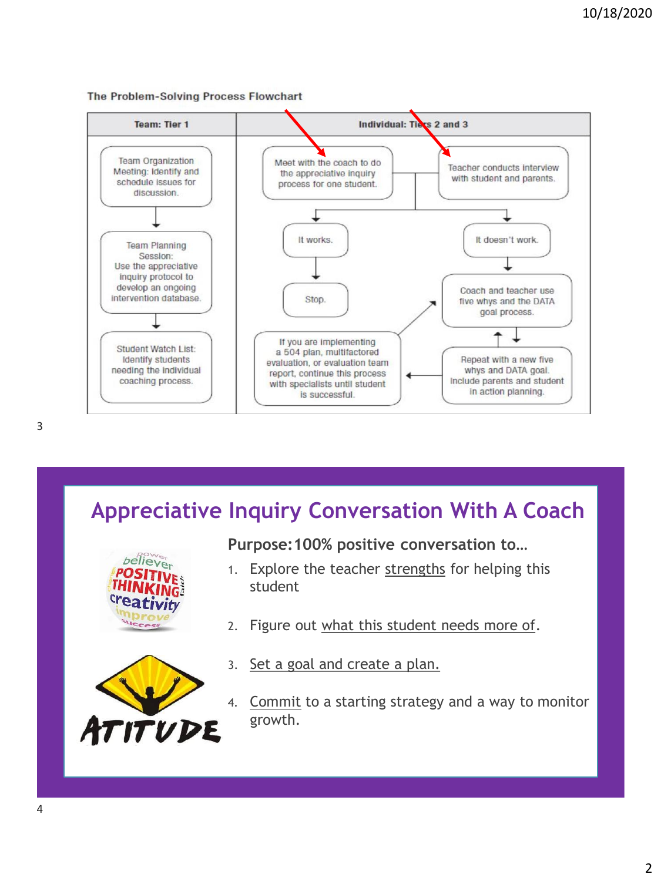#### The Problem-Solving Process Flowchart



## **Appreciative Inquiry Conversation With A Coach**



**Purpose:100% positive conversation to…**

- 1. Explore the teacher strengths for helping this student
- 2. Figure out what this student needs more of.
- 3. Set a goal and create a plan.
- 4. Commit to a starting strategy and a way to monitor growth.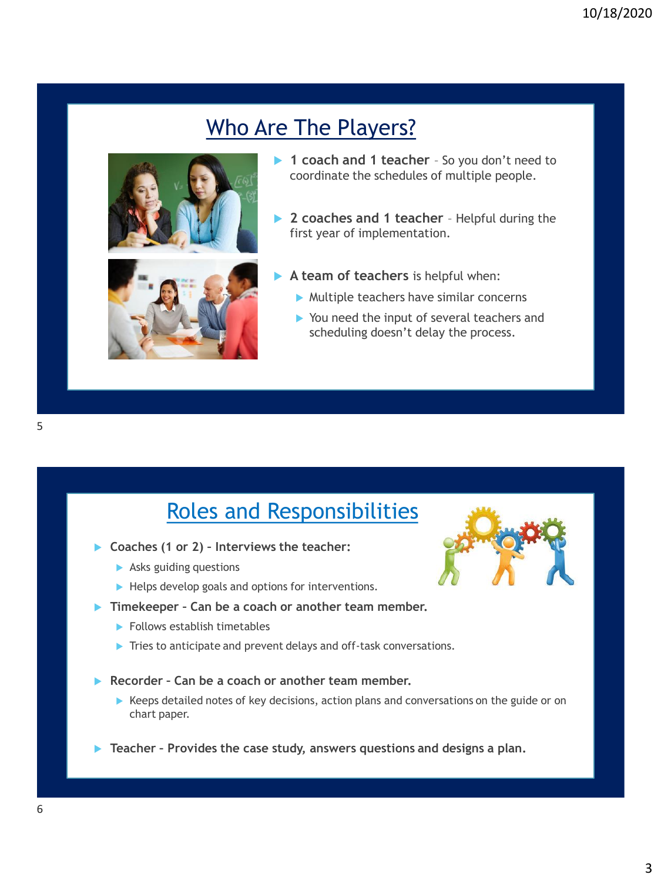## Who Are The Players?



- ▶ 1 coach and 1 teacher So you don't need to coordinate the schedules of multiple people.
- ▶ 2 coaches and 1 teacher Helpful during the first year of implementation.
- **A team of teachers** is helpful when:
	- $\blacktriangleright$  Multiple teachers have similar concerns
	- ▶ You need the input of several teachers and scheduling doesn't delay the process.

### Roles and Responsibilities

- **Coaches (1 or 2) – Interviews the teacher:** 
	- Asks guiding questions
	- $\blacktriangleright$  Helps develop goals and options for interventions.
- **Timekeeper – Can be a coach or another team member.** 
	- $\blacktriangleright$  Follows establish timetables
	- Tries to anticipate and prevent delays and off-task conversations.
- **Recorder – Can be a coach or another team member.** 
	- Keeps detailed notes of key decisions, action plans and conversations on the guide or on chart paper.
- **Teacher – Provides the case study, answers questions and designs a plan.**



5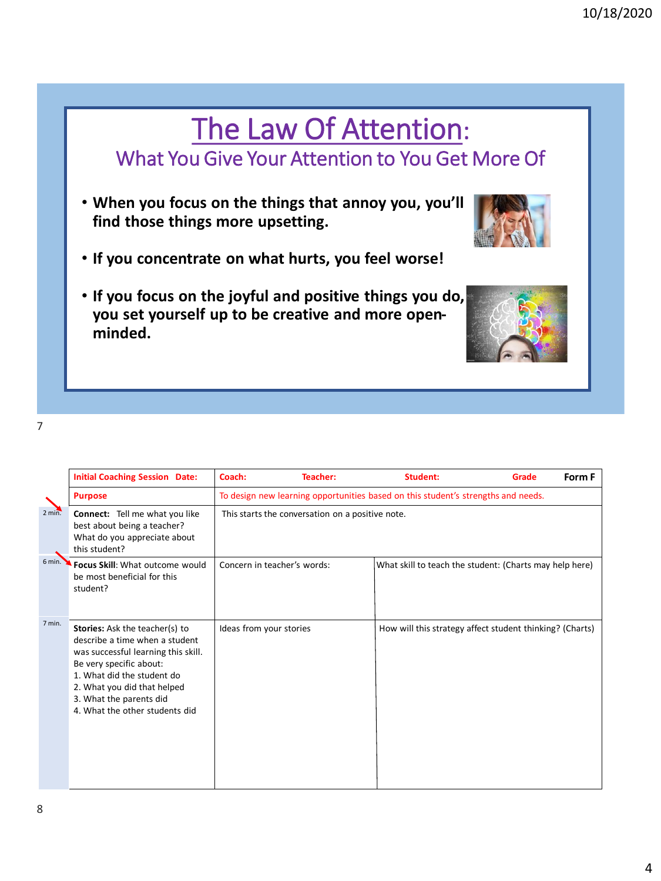## The Law Of Attention: What You Give Your Attention to You Get More Of

- **When you focus on the things that annoy you, you'll find those things more upsetting.**
- **If you concentrate on what hurts, you feel worse!**
- **If you focus on the joyful and positive things you do, you set yourself up to be creative and more openminded.**

8

|        | <b>Initial Coaching Session Date:</b>                                                                                                                                                                                                                               | Coach:                                                                            | Teacher: | Student:                                                 | Grade | Form F |  |
|--------|---------------------------------------------------------------------------------------------------------------------------------------------------------------------------------------------------------------------------------------------------------------------|-----------------------------------------------------------------------------------|----------|----------------------------------------------------------|-------|--------|--|
| 2 min. | <b>Purpose</b>                                                                                                                                                                                                                                                      | To design new learning opportunities based on this student's strengths and needs. |          |                                                          |       |        |  |
|        | <b>Connect:</b> Tell me what you like<br>best about being a teacher?<br>What do you appreciate about<br>this student?                                                                                                                                               | This starts the conversation on a positive note.                                  |          |                                                          |       |        |  |
| 6 min. | Focus Skill: What outcome would<br>be most beneficial for this<br>student?                                                                                                                                                                                          | Concern in teacher's words:                                                       |          | What skill to teach the student: (Charts may help here)  |       |        |  |
| 7 min. | <b>Stories:</b> Ask the teacher(s) to<br>describe a time when a student<br>was successful learning this skill.<br>Be very specific about:<br>1. What did the student do<br>2. What you did that helped<br>3. What the parents did<br>4. What the other students did | Ideas from your stories                                                           |          | How will this strategy affect student thinking? (Charts) |       |        |  |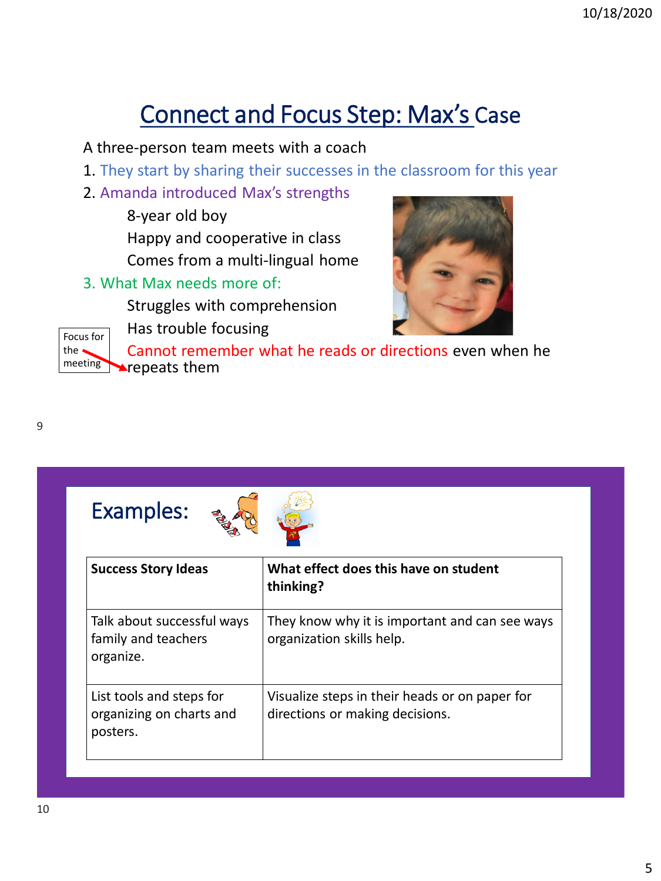## Connect and Focus Step: Max's Case

#### A three-person team meets with a coach

- 1. They start by sharing their successes in the classroom for this year
- 2. Amanda introduced Max's strengths
	- 8-year old boy Happy and cooperative in class Comes from a multi-lingual home
- 3. What Max needs more of:

Struggles with comprehension







Cannot remember what he reads or directions even when he **Prepeats them** 





| <b>Success Story Ideas</b>                                       | What effect does this have on student<br>thinking?                                |
|------------------------------------------------------------------|-----------------------------------------------------------------------------------|
| Talk about successful ways<br>family and teachers<br>organize.   | They know why it is important and can see ways<br>organization skills help.       |
| List tools and steps for<br>organizing on charts and<br>posters. | Visualize steps in their heads or on paper for<br>directions or making decisions. |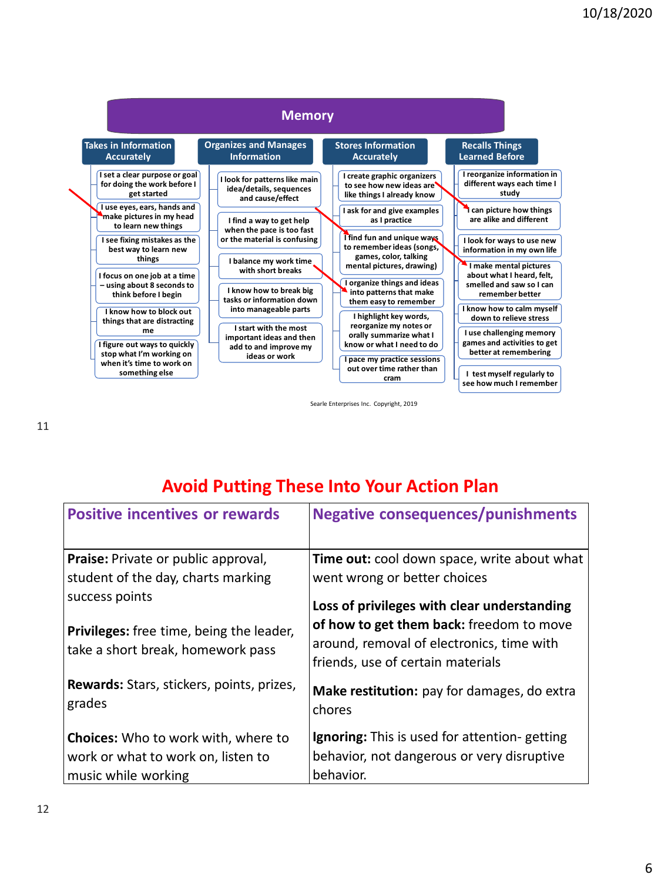

Searle Enterprises Inc. Copyright, 2019

### **Avoid Putting These Into Your Action Plan**

| <b>Positive incentives or rewards</b>               | <b>Negative consequences/punishments</b>                                       |  |  |  |
|-----------------------------------------------------|--------------------------------------------------------------------------------|--|--|--|
| Praise: Private or public approval,                 | Time out: cool down space, write about what<br>went wrong or better choices    |  |  |  |
| student of the day, charts marking                  |                                                                                |  |  |  |
| success points                                      | Loss of privileges with clear understanding                                    |  |  |  |
| Privileges: free time, being the leader,            | of how to get them back: freedom to move                                       |  |  |  |
| take a short break, homework pass                   | around, removal of electronics, time with<br>friends, use of certain materials |  |  |  |
| Rewards: Stars, stickers, points, prizes,<br>grades | Make restitution: pay for damages, do extra<br>chores                          |  |  |  |
| <b>Choices:</b> Who to work with, where to          | <b>Ignoring:</b> This is used for attention- getting                           |  |  |  |
| work or what to work on, listen to                  | behavior, not dangerous or very disruptive                                     |  |  |  |
| music while working                                 | behavior.                                                                      |  |  |  |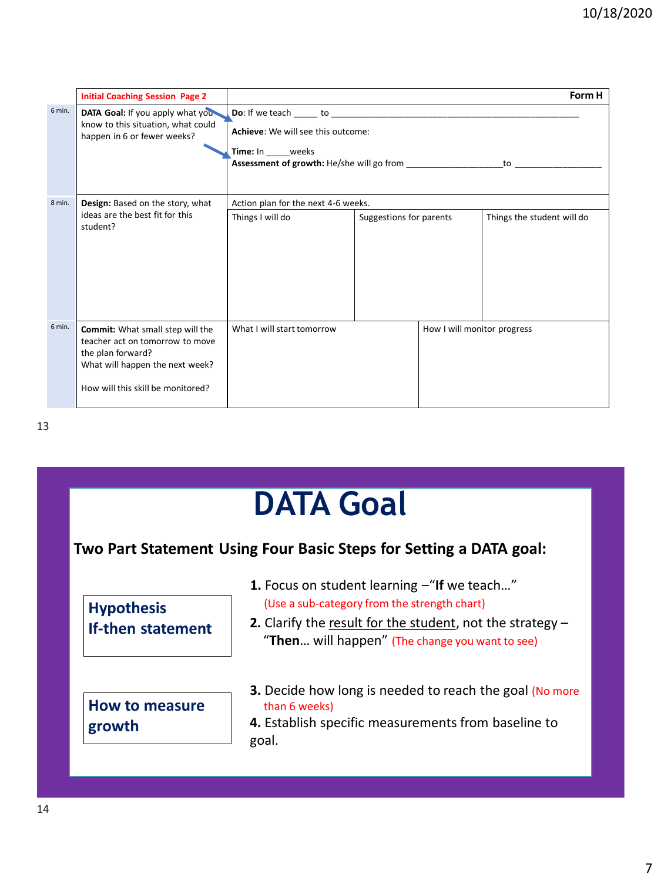|        | <b>Initial Coaching Session Page 2</b>                                                                                                                                  |                                                                                                          |                         |                             | Form H                     |  |  |
|--------|-------------------------------------------------------------------------------------------------------------------------------------------------------------------------|----------------------------------------------------------------------------------------------------------|-------------------------|-----------------------------|----------------------------|--|--|
| 6 min. | DATA Goal: If you apply what you<br>know to this situation, what could<br>happen in 6 or fewer weeks?                                                                   | Achieve: We will see this outcome:<br><b>Time:</b> In weeks<br>Assessment of growth: He/she will go from |                         |                             |                            |  |  |
| 8 min. | Design: Based on the story, what                                                                                                                                        | Action plan for the next 4-6 weeks.                                                                      |                         |                             |                            |  |  |
|        | ideas are the best fit for this<br>student?                                                                                                                             | Things I will do                                                                                         | Suggestions for parents |                             | Things the student will do |  |  |
| 6 min. | <b>Commit:</b> What small step will the<br>teacher act on tomorrow to move<br>the plan forward?<br>What will happen the next week?<br>How will this skill be monitored? | What I will start tomorrow                                                                               |                         | How I will monitor progress |                            |  |  |

## **DATA Goal Hypothesis If-then statement How to measure growth Two Part Statement Using Four Basic Steps for Setting a DATA goal: 1.** Focus on student learning –"**If** we teach…" (Use a sub-category from the strength chart) **2.** Clarify the result for the student, not the strategy – "**Then**… will happen" (The change you want to see) **3.** Decide how long is needed to reach the goal (No more than 6 weeks) **4.** Establish specific measurements from baseline to goal.